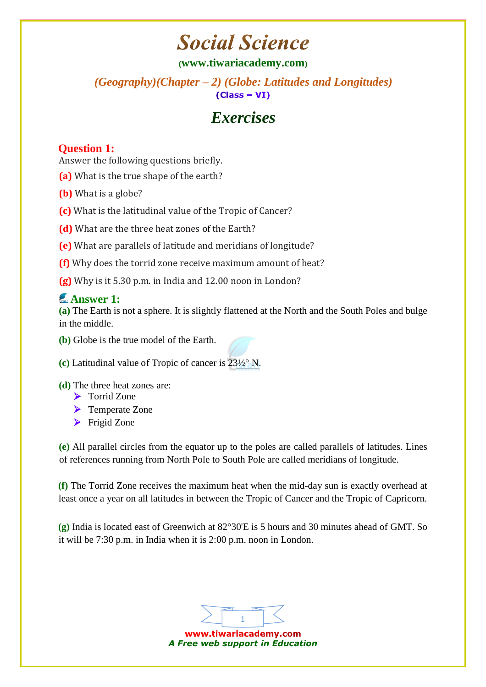# **Social Science**

### **([www.tiwariacademy.com](http://www.tiwariacademy.com/))**

*(Geography)(Chapter – 2) (Globe: Latitudes and Longitudes)*   $(Class - VI)$ 

# *Exercises*

### **Question 1:**

Answer the following questions briefly.

- **(a)** What is the true shape of the earth?
- **(b)** What is a globe?
- **(c)** What is the latitudinal value of the Tropic of Cancer?
- **(d)** What are the three heat zones [of](http://www.tiwariacademy.com/) the Earth?
- **(e)** What are parallels of latitude and meridians of longitude?
- **(f)** Why does the torrid zone receive maximum amount of heat?
- **(g)** Why is it 5.30 p.m. in India and 12.00 noon in London?

# **Answer 1:**

**(a)** The Earth is not a sphere. It is slightly flattened at the North and the South Poles and bulge in the middle.

**(b)** Globe is the true model of the Earth.



#### **(d)** The three heat zones are:

- > Torrid Zone
- **►** Temperate Zone
- $\blacktriangleright$  Frigid Zone

**(e)** All parallel circles from the equator up to the poles are called parallels of latitudes. Lines of references running from North Pole to South Pole are called meridians of longitude.

**(f)** The Torrid Zone receives the maximum heat when the mid-day sun is exactly overhead at least once a year on all latitudes in between the Tropic of Cancer and the Tropic [of](http://www.tiwariacademy.com/) Capricorn.

**(g)** India is located east of Greenwich at 82°30'E is 5 hours and 30 minutes ahead of GMT. So it will be 7:30 p.m. in India when it is 2:00 p.m. noon in London.



www.tiwariacademy.com *A Free web support in Education*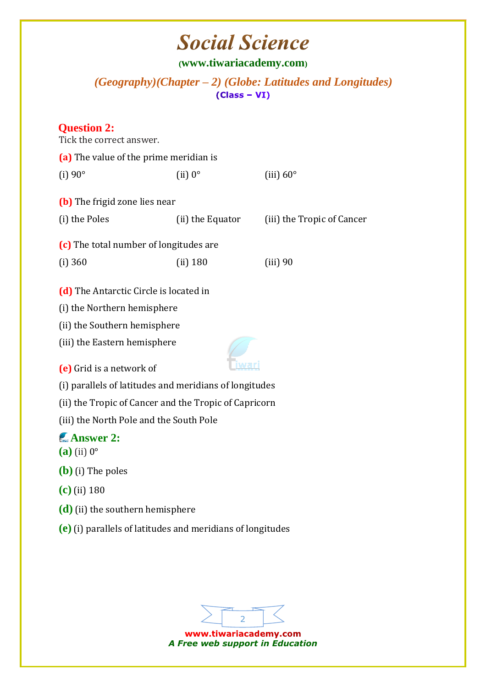# **Social Science**

**([www.tiwariacademy.com](http://www.tiwariacademy.com/))**

*(Geography)(Chapter – 2) (Globe: Latitudes and Longitudes)* 

### **Question 2:**

| Tick the correct answer.                                                                                                                                                                                                                                                                                                                                                                                                                                   |                  |                            |
|------------------------------------------------------------------------------------------------------------------------------------------------------------------------------------------------------------------------------------------------------------------------------------------------------------------------------------------------------------------------------------------------------------------------------------------------------------|------------------|----------------------------|
| (a) The value of the prime meridian is                                                                                                                                                                                                                                                                                                                                                                                                                     |                  |                            |
| $(i) 90^\circ$                                                                                                                                                                                                                                                                                                                                                                                                                                             | $(ii) 0^{\circ}$ | (iii) $60^\circ$           |
| (b) The frigid zone lies near                                                                                                                                                                                                                                                                                                                                                                                                                              |                  |                            |
| (i) the Poles                                                                                                                                                                                                                                                                                                                                                                                                                                              | (ii) the Equator | (iii) the Tropic of Cancer |
| (c) The total number of longitudes are                                                                                                                                                                                                                                                                                                                                                                                                                     |                  |                            |
| (i) 360                                                                                                                                                                                                                                                                                                                                                                                                                                                    | $(ii)$ 180       | (iii) 90                   |
| (d) The Antarctic Circle is located in<br>(i) the Northern hemisphere<br>(ii) the Southern hemisphere<br>(iii) the Eastern hemisphere<br>(e) Grid is a network of<br>(i) parallels of latitudes and meridians of longitudes<br>(ii) the Tropic of Cancer and the Tropic of Capricorn<br>(iii) the North Pole and the South Pole<br><b>Answer 2:</b><br>$(a)$ (ii) $0^\circ$<br>$(b)$ (i) The poles<br>$(c)$ (ii) 180<br>$(d)$ (ii) the southern hemisphere |                  |                            |
| $(e)$ (i) parallels of latitudes and meridians of longitudes                                                                                                                                                                                                                                                                                                                                                                                               |                  |                            |
|                                                                                                                                                                                                                                                                                                                                                                                                                                                            |                  |                            |
|                                                                                                                                                                                                                                                                                                                                                                                                                                                            |                  |                            |



www.tiwariacademy.com *A Free web support in Education*